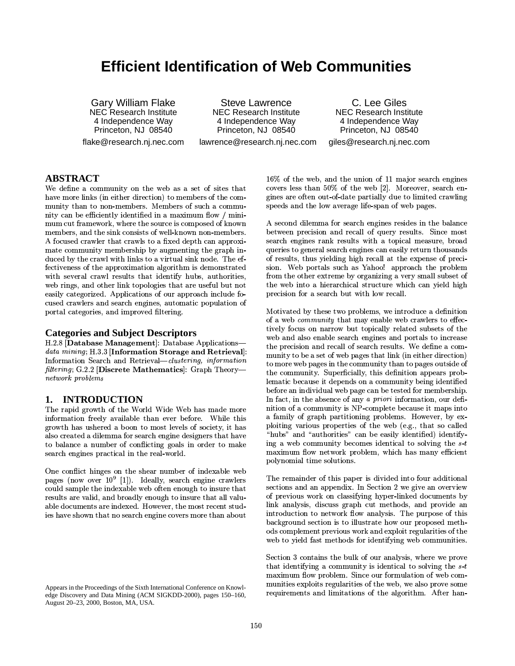# **Efficient Identification of Web Communities**

**Gary William Flake NEC Research Institute** 4 Independence Way Princeton, NJ 08540 flake@research.nj.nec.com

**Steve Lawrence NEC Research Institute** 4 Independence Way Princeton, NJ 08540 lawrence@research.nj.nec.com

C. Lee Giles **NEC Research Institute** 4 Independence Way Princeton, NJ 08540 giles@research.nj.nec.com

### **ABSTRACT**

We define a community on the web as a set of sites that have more links (in either direction) to members of the community than to non-members. Members of such a community can be efficiently identified in a maximum flow / minimum cut framework, where the source is composed of known members, and the sink consists of well-known non-members. A focused crawler that crawls to a fixed depth can approximate community membership by augmenting the graph induced by the crawl with links to a virtual sink node. The effectiveness of the approximation algorithm is demonstrated with several crawl results that identify hubs, authorities, web rings, and other link topologies that are useful but not easily categorized. Applications of our approach include focused crawlers and search engines, automatic population of portal categories, and improved filtering.

#### **Categories and Subject Descriptors**

H.2.8 [Database Management]: Database Applicationsdata mining; H.3.3 [Information Storage and Retrieval]: Information Search and Retrieval-clustering, information filtering; G.2.2 [Discrete Mathematics]: Graph Theorynetwork problems

#### 1. **INTRODUCTION**

The rapid growth of the World Wide Web has made more information freely available than ever before. While this growth has ushered a boon to most levels of society, it has also created a dilemma for search engine designers that have to balance a number of conflicting goals in order to make search engines practical in the real-world.

One conflict hinges on the shear number of indexable web pages (now over  $10^9$  [1]). Ideally, search engine crawlers could sample the indexable web often enough to insure that results are valid, and broadly enough to insure that all valuable documents are indexed. However, the most recent studies have shown that no search engine covers more than about

16% of the web, and the union of 11 major search engines covers less than 50% of the web [2]. Moreover, search engines are often out-of-date partially due to limited crawling speeds and the low average life-span of web pages.

A second dilemma for search engines resides in the balance between precision and recall of query results. Since most search engines rank results with a topical measure, broad queries to general search engines can easily return thousands of results, thus yielding high recall at the expense of precision. Web portals such as Yahoo! approach the problem from the other extreme by organizing a very small subset of the web into a hierarchical structure which can yield high precision for a search but with low recall.

Motivated by these two problems, we introduce a definition of a web *community* that may enable web crawlers to effectively focus on narrow but topically related subsets of the web and also enable search engines and portals to increase the precision and recall of search results. We define a community to be a set of web pages that link (in either direction) to more web pages in the community than to pages outside of the community. Superficially, this definition appears problematic because it depends on a community being identified before an individual web page can be tested for membership. In fact, in the absence of any a priori information, our definition of a community is NP-complete because it maps into a family of graph partitioning problems. However, by exploiting various properties of the web (e.g., that so called "hubs" and "authorities" can be easily identified) identifying a web community becomes identical to solving the  $s$ -t maximum flow network problem, which has many efficient polynomial time solutions.

The remainder of this paper is divided into four additional sections and an appendix. In Section 2 we give an overview of previous work on classifying hyper-linked documents by link analysis, discuss graph cut methods, and provide an introduction to network flow analysis. The purpose of this background section is to illustrate how our proposed methods complement previous work and exploit regularities of the web to yield fast methods for identifying web communities.

Section 3 contains the bulk of our analysis, where we prove that identifying a community is identical to solving the  $s-t$ maximum flow problem. Since our formulation of web communities exploits regularities of the web, we also prove some requirements and limitations of the algorithm. After han-

Appears in the Proceedings of the Sixth International Conference on Knowledge Discovery and Data Mining (ACM SIGKDD-2000), pages 150-160, August 20-23, 2000, Boston, MA, USA.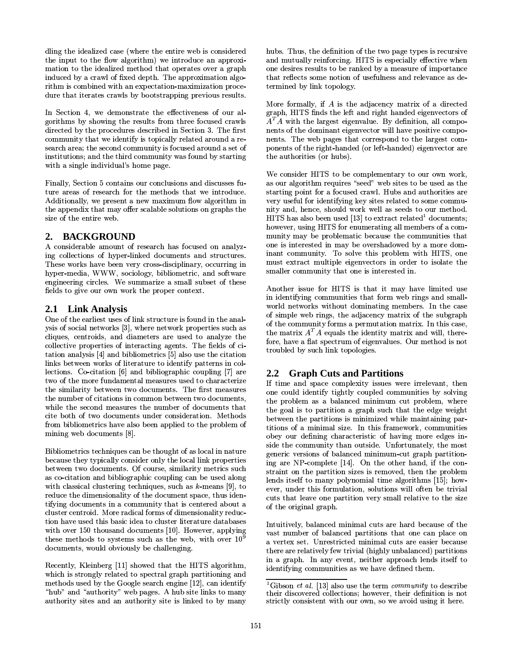dling the idealized case (where the entire web is considered the input to the flow algorithm) we introduce an approximation to the idealized method that operates over a graph induced by a crawl of fixed depth. The approximation algorithm is combined with an expectation-maximization procedure that iterates crawls by bootstrapping previous results.

In Section 4, we demonstrate the effectiveness of our algorithms by showing the results from three focused crawls directed by the procedures described in Section 3. The first community that we identify is topically related around a research area; the second community is focused around a set of institutions; and the third community was found by starting with a single individual's home page.

Finally, Section 5 contains our conclusions and discusses future areas of research for the methods that we introduce. Additionally, we present a new maximum flow algorithm in the appendix that may offer scalable solutions on graphs the size of the entire web.

#### **BACKGROUND**  $2.$

A considerable amount of research has focused on analyzing collections of hyper-linked documents and structures. These works have been very cross-disciplinary, occurring in hyper-media, WWW, sociology, bibliometric, and software engineering circles. We summarize a small subset of these fields to give our own work the proper context.

# 2.1 Link Analysis

One of the earliest uses of link structure is found in the analysis of social networks [3], where network properties such as cliques, centroids, and diameters are used to analyze the collective properties of interacting agents. The fields of citation analysis [4] and bibliometrics [5] also use the citation links between works of literature to identify patterns in collections. Co-citation [6] and bibliographic coupling [7] are two of the more fundamental measures used to characterize the similarity between two documents. The first measures the number of citations in common between two documents, while the second measures the number of documents that cite both of two documents under consideration. Methods from bibliometrics have also been applied to the problem of mining web documents [8].

Bibliometrics techniques can be thought of as local in nature because they typically consider only the local link properties between two documents. Of course, similarity metrics such as co-citation and bibliographic coupling can be used along with classical clustering techniques, such as  $k$ -means [9], to reduce the dimensionality of the document space, thus identifying documents in a community that is centered about a cluster centroid. More radical forms of dimensionality reduction have used this basic idea to cluster literature databases with over 150 thousand documents [10]. However, applying these methods to systems such as the web, with over  $10^9$ documents, would obviously be challenging.

Recently, Kleinberg [11] showed that the HITS algorithm, which is strongly related to spectral graph partitioning and methods used by the Google search engine [12], can identify "hub" and "authority" web pages. A hub site links to many authority sites and an authority site is linked to by many hubs. Thus, the definition of the two page types is recursive and mutually reinforcing. HITS is especially effective when one desires results to be ranked by a measure of importance that reflects some notion of usefulness and relevance as determined by link topology.

More formally, if  $A$  is the adjacency matrix of a directed graph, HITS finds the left and right handed eigenvectors of  $A<sup>T</sup>A$  with the largest eigenvalue. By definition, all components of the dominant eigenvector will have positive components. The web pages that correspond to the largest components of the right-handed (or left-handed) eigenvector are the authorities (or hubs).

We consider HITS to be complementary to our own work, as our algorithm requires "seed" web sites to be used as the starting point for a focused crawl. Hubs and authorities are very useful for identifying key sites related to some community and, hence, should work well as seeds to our method. HITS has also been used [13] to extract related<sup>1</sup> documents; however, using HITS for enumerating all members of a community may be problematic because the communities that one is interested in may be overshadowed by a more dominant community. To solve this problem with HITS, one must extract multiple eigenvectors in order to isolate the smaller community that one is interested in.

Another issue for HITS is that it may have limited use in identifying communities that form web rings and smallworld networks without dominating members. In the case of simple web rings, the adjacency matrix of the subgraph of the community forms a permutation matrix. In this case, the matrix  $A^T A$  equals the identity matrix and will, therefore, have a flat spectrum of eigenvalues. Our method is not troubled by such link topologies.

# 2.2 Graph Cuts and Partitions

If time and space complexity issues were irrelevant, then one could identify tightly coupled communities by solving the problem as a balanced minimum cut problem, where the goal is to partition a graph such that the edge weight between the partitions is minimized while maintaining partitions of a minimal size. In this framework, communities obey our defining characteristic of having more edges inside the community than outside. Unfortunately, the most generic versions of balanced minimum-cut graph partitioning are NP-complete [14]. On the other hand, if the constraint on the partition sizes is removed, then the problem lends itself to many polynomial time algorithms [15]; however, under this formulation, solutions will often be trivial cuts that leave one partition very small relative to the size of the original graph.

Intuitively, balanced minimal cuts are hard because of the vast number of balanced partitions that one can place on a vertex set. Unrestricted minimal cuts are easier because there are relatively few trivial (highly unbalanced) partitions in a graph. In any event, neither approach lends itself to identifying communities as we have defined them.

<sup>&</sup>lt;sup>1</sup>Gibson et al. [13] also use the term community to describe their discovered collections; however, their definition is not strictly consistent with our own, so we avoid using it here.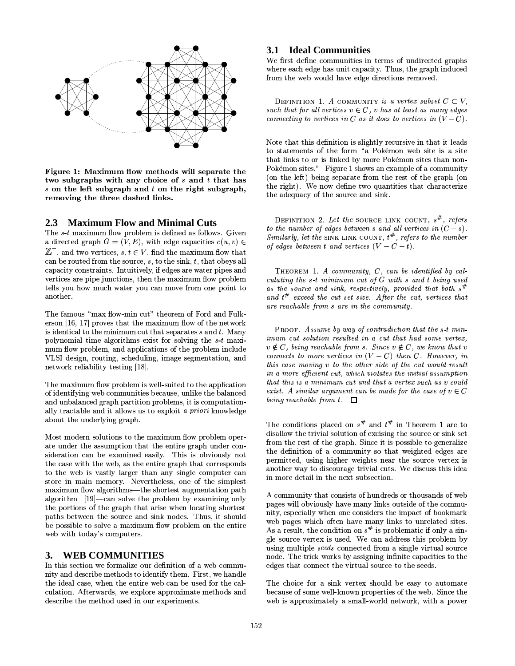

Figure 1: Maximum flow methods will separate the two subgraphs with any choice of  $s$  and  $t$  that has  $s$  on the left subgraph and  $t$  on the right subgraph, removing the three dashed links.

#### 2.3 Maximum Flow and Minimal Cuts

The s-t maximum flow problem is defined as follows. Given a directed graph  $G = (V, E)$ , with edge capacities  $c(u, v) \in$  $\mathbb{Z}^+$ , and two vertices,  $s, t \in V$ , find the maximum flow that can be routed from the source,  $s$ , to the sink,  $t$ , that obeys all capacity constraints. Intuitively, if edges are water pipes and vertices are pipe junctions, then the maximum flow problem tells you how much water you can move from one point to another.

The famous "max flow-min cut" theorem of Ford and Fulkerson [16, 17] proves that the maximum flow of the network is identical to the minimum cut that separates  $s$  and  $t$ . Many polynomial time algorithms exist for solving the  $s$ -t maximum flow problem, and applications of the problem include VLSI design, routing, scheduling, image segmentation, and network reliability testing [18].

The maximum flow problem is well-suited to the application of identifying web communities because, unlike the balanced and unbalanced graph partition problems, it is computationally tractable and it allows us to exploit a priori knowledge about the underlying graph.

Most modern solutions to the maximum flow problem operate under the assumption that the entire graph under consideration can be examined easily. This is obviously not the case with the web, as the entire graph that corresponds to the web is vastly larger than any single computer can store in main memory. Nevertheless, one of the simplest maximum flow algorithms—the shortest augmentation path algorithm  $[19]$ —can solve the problem by examining only the portions of the graph that arise when locating shortest paths between the source and sink nodes. Thus, it should be possible to solve a maximum flow problem on the entire web with today's computers.

#### $3.$ **WEB COMMUNITIES**

In this section we formalize our definition of a web community and describe methods to identify them. First, we handle the ideal case, when the entire web can be used for the calculation. Afterwards, we explore approximate methods and describe the method used in our experiments.

#### **3.1 Ideal Communities**

We first define communities in terms of undirected graphs where each edge has unit capacity. Thus, the graph induced from the web would have edge directions removed.

DEFINITION 1. A COMMUNITY is a vertex subset  $C \subset V$ , such that for all vertices  $v \in C$ , v has at least as many edges connecting to vertices in C as it does to vertices in  $(V - C)$ .

Note that this definition is slightly recursive in that it leads to statements of the form "a Pokémon web site is a site that links to or is linked by more Pokémon sites than non-Pokémon sites." Figure 1 shows an example of a community (on the left) being separate from the rest of the graph (on the right). We now define two quantities that characterize the adequacy of the source and sink.

DEFINITION 2. Let the SOURCE LINK COUNT,  $s^{\#}$ , refers to the number of edges between s and all vertices in  $(C - s)$ . Similarly, let the SINK LINK COUNT,  $t^{\#}$ , refers to the number of edges between t and vertices  $(V - C - t)$ .

THEOREM 1. A community,  $C$ , can be identified by calculating the  $s$ -t minimum cut of  $G$  with  $s$  and  $t$  being used as the source and sink, respectively, provided that both  $s^{\#}$ and  $t^{\#}$  exceed the cut set size. After the cut, vertices that are reachable from s are in the community.

PROOF. Assume by way of contradiction that the s-t minimum cut solution resulted in a cut that had some vertex,  $v \notin C$ , being reachable from s. Since  $v \notin C$ , we know that v connects to more vertices in  $(V - C)$  then C. However, in this case moving v to the other side of the cut would result in a more efficient cut, which violates the initial assumption that this is a minimum cut and that a vertex such as v could exist. A similar argument can be made for the case of  $v \in C$ being reachable from  $t$ .  $\Box$ 

The conditions placed on  $s^{\#}$  and  $t^{\#}$  in Theorem 1 are to disallow the trivial solution of excising the source or sink set from the rest of the graph. Since it is possible to generalize the definition of a community so that weighted edges are permitted, using higher weights near the source vertex is another way to discourage trivial cuts. We discuss this idea in more detail in the next subsection.

A community that consists of hundreds or thousands of web pages will obviously have many links outside of the community, especially when one considers the impact of bookmark web pages which often have many links to unrelated sites. As a result, the condition on  $s^{\#}$  is problematic if only a single source vertex is used. We can address this problem by using multiple *seeds* connected from a single virtual source node. The trick works by assigning infinite capacities to the edges that connect the virtual source to the seeds.

The choice for a sink vertex should be easy to automate because of some well-known properties of the web. Since the web is approximately a small-world network, with a power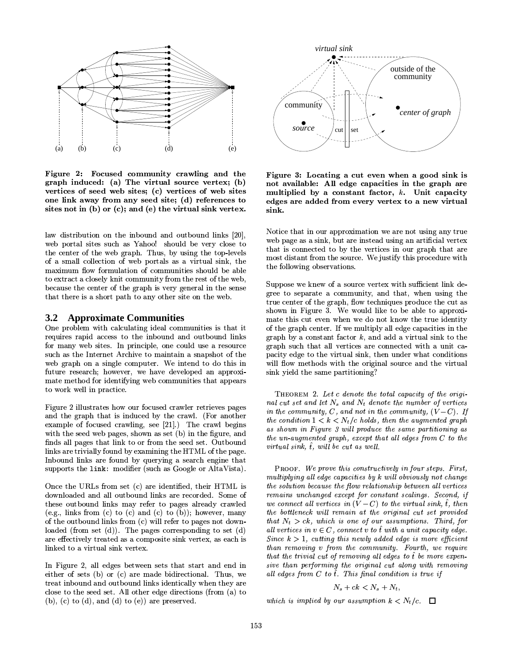

Figure 2: Focused community crawling and the graph induced: (a) The virtual source vertex; (b) vertices of seed web sites; (c) vertices of web sites one link away from any seed site; (d) references to sites not in (b) or (c); and (e) the virtual sink vertex.

law distribution on the inbound and outbound links [20], web portal sites such as Yahoo! should be very close to the center of the web graph. Thus, by using the top-levels of a small collection of web portals as a virtual sink, the maximum flow formulation of communities should be able to extract a closely knit community from the rest of the web. because the center of the graph is very general in the sense that there is a short path to any other site on the web.

#### $3.2$ **Approximate Communities**

One problem with calculating ideal communities is that it requires rapid access to the inbound and outbound links for many web sites. In principle, one could use a resource such as the Internet Archive to maintain a snapshot of the web graph on a single computer. We intend to do this in future research; however, we have developed an approximate method for identifying web communities that appears to work well in practice.

Figure 2 illustrates how our focused crawler retrieves pages and the graph that is induced by the crawl. (For another example of focused crawling, see [21].) The crawl begins with the seed web pages, shown as set (b) in the figure, and finds all pages that link to or from the seed set. Outbound links are trivially found by examining the HTML of the page. Inbound links are found by querying a search engine that supports the link: modifier (such as Google or AltaVista).

Once the URLs from set (c) are identified, their HTML is downloaded and all outbound links are recorded. Some of these outbound links may refer to pages already crawled (e.g., links from (c) to (c) and (c) to (b)); however, many of the outbound links from (c) will refer to pages not downloaded (from set  $(d)$ ). The pages corresponding to set  $(d)$ are effectively treated as a composite sink vertex, as each is linked to a virtual sink vertex.

In Figure 2, all edges between sets that start and end in either of sets (b) or (c) are made bidirectional. Thus, we treat inbound and outbound links identically when they are close to the seed set. All other edge directions (from (a) to (b), (c) to (d), and (d) to (e)) are preserved.



Figure 3: Locating a cut even when a good sink is not available: All edge capacities in the graph are multiplied by a constant factor,  $k$ . Unit capacity edges are added from every vertex to a new virtual sink.

Notice that in our approximation we are not using any true web page as a sink, but are instead using an artificial vertex that is connected to by the vertices in our graph that are most distant from the source. We justify this procedure with the following observations.

Suppose we knew of a source vertex with sufficient link degree to separate a community, and that, when using the true center of the graph, flow techniques produce the cut as shown in Figure 3. We would like to be able to approximate this cut even when we do not know the true identity of the graph center. If we multiply all edge capacities in the graph by a constant factor  $k$ , and add a virtual sink to the graph such that all vertices are connected with a unit capacity edge to the virtual sink, then under what conditions will flow methods with the original source and the virtual sink yield the same partitioning?

THEOREM 2. Let c denote the total capacity of the original cut set and let  $N_s$  and  $N_t$  denote the number of vertices in the community, C, and not in the community,  $(V - C)$ . If the condition  $1 < k < N_t/c$  holds, then the augmented graph as shown in Figure 3 will produce the same partitioning as the un-augmented graph, except that all edges from C to the virtual sink,  $\hat{t}$ , will be cut as well.

PROOF. We prove this constructively in four steps. First, multiplying all edge capacities by k will obviously not change the solution because the flow relationship between all vertices remains unchanged except for constant scalings. Second, if we connect all vertices in  $(V - C)$  to the virtual sink,  $\hat{t}$ , then the bottleneck will remain at the original cut set provided that  $N_t > ck$ , which is one of our assumptions. Third, for all vertices in  $v \in C$ , connect v to  $\hat{t}$  with a unit capacity edge. Since  $k > 1$ , cutting this newly added edge is more efficient than removing v from the community. Fourth, we require that the trivial cut of removing all edges to  $\tilde{t}$  be more expensive than performing the original cut along with removing all edges from  $C$  to  $\hat{t}$ . This final condition is true if

$$
N_s + ck < N_s + N_t
$$

which is implied by our assumption  $k < N_t/c$ .  $\Box$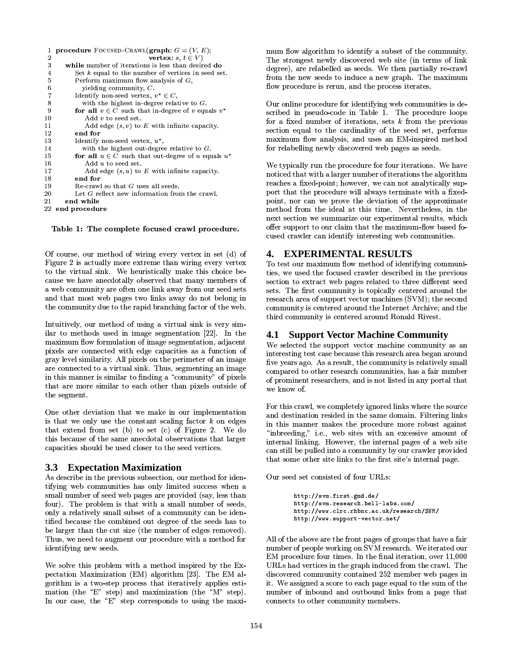| 1              | <b>procedure</b> FOCUSED-CRAWL( <b>graph</b> : $G = (V, E)$ ; |
|----------------|---------------------------------------------------------------|
| 2              | vertex: $s, t \in V$                                          |
| 3              | while number of iterations is less than desired do            |
| 4              | Set $k$ equal to the number of vertices in seed set.          |
| 5              | Perform maximum flow analysis of $G$ .                        |
| 6              | yielding community, $C$ .                                     |
| $\overline{7}$ | Identify non-seed vertex, $v^* \in C$ ,                       |
| 8              | with the highest in-degree relative to $G$ .                  |
| 9              | for all $v \in C$ such that in-degree of v equals $v^*$       |
| 10             | $\text{Add } v$ to seed set.                                  |
| 11             | Add edge $(s, v)$ to E with infinite capacity.                |
| 12             | end for                                                       |
| 13             | Identify non-seed vertex, $u^*$ ,                             |
| 14             | with the highest out-degree relative to $G$ .                 |
| 15             | for all $u \in C$ such that out-degree of u equals $u^*$      |
| 16             | $Add\ u$ to seed set.                                         |
| 17             | Add edge $(s, u)$ to E with infinite capacity.                |
| 18             | end for                                                       |
| 19             | Re-crawl so that G uses all seeds.                            |
| 20             | Let $G$ reflect new information from the crawl.               |
| 21             | end while                                                     |
|                | 22 end procedure                                              |
|                |                                                               |

!qs<ju -(`¤SuB£ky<Tu5ru
i£0Stu £,q8+f?,i£uS,u?

 $\sim$  11  $\,$  1  $\,$  1  $\,$  1  $\,$  1  $\,$  1  $\,$  1  $\,$  1  $\,$  1  $\,$  1  $\,$  1  $\,$  1  $\,$  1  $\,$  1  $\,$  1  $\,$  1  $\,$  1  $\,$  1  $\,$  1  $\,$  1  $\,$  1  $\,$  1  $\,$  1  $\,$  1  $\,$  1  $\,$  1  $\,$  1  $\,$  1  $\,$  1  $\,$  1  $\,$  1  $\,$ ?3\_% 1=m3\$\*%9 %232)1^M5'1F%A713\_&-/91'A-/91'M  $\mathbf{1}$  and  $\mathbf{1}$  and  $\mathbf{2}$  and  $\mathbf{3}$  and  $\mathbf{4}$  and  $\mathbf{1}$  and  $\mathbf{1}$  and  $\mathbf{1}$  and  $\mathbf{1}$  and  $\mathbf{1}$  and  $\mathbf{1}$  and  $\mathbf{1}$  and  $\mathbf{1}$  and  $\mathbf{1}$  and  $\mathbf{1}$  and  $\mathbf{1}$  and  $\mathbf{1}$  and  $\blacksquare$  $\blacksquare$ ) 
 )`%\$Z\*!"-X %\_%\$^I:23L 45\$Y.!)Y">23\_AL  $\blacksquare$ 

K3-/2KUk1Y5B%(:\$'3\_AC-51' )2<\$'L 4B3\$^-/1'
\$'3+@ ilar to methods used in image segmentation  $[22]$ . In the  $\blacksquare$  $\blacksquare$  . The set of the set of the set of the set of the set of the set of the set of the set of the set of the set of the set of the set of the set of the set of the set of the set of the set of the set of the set of the  $\sim$  1G-23-/2  $\sim$  1G-23-/2  $\sim$  1G-23-/2  $\sim$  2G-23-/2  $\sim$  2G-23-/2  $\sim$  2G-23-/2  $\sim$  2G-23-/2  $\sim$  2G-23-/2  $\sim$ , the state of the state  $\mathbf{1}$  and  $\mathbf{2}$  and  $\mathbf{3}$  DVa  $\mathbf{3}$  DVa  $\mathbf{3}$ 3&3\$:&) 1!3\$!\$'332L)1!Y 3\_` <sup>Á</sup> %= IÂ\*%(SXM23\$  $\blacksquare$  $\bullet$  . Define the contract of the contract of the contract of the contract of the contract of the contract of the contract of the contract of the contract of the contract of the contract of the contract of the contract of

¬ A)1&-5L)3 ,=!A&%4/&3#% 13X 2LKG)3  $\blacksquare$  . The state  $\blacksquare$ )AM5 e(T1% \$'-68">;«\$'9µ68,; )( ?3\_% 1µmKD z  $\blacksquare$  $\mathbb{Z}^2$  , and  $\mathbb{Z}^2$  is the state of  $\mathbb{Z}^2$  . Although  $\mathbb{Z}^2$  is the state of  $\mathbb{Z}^2$ 

#### **3.3 Expectation Maximization**

 $\,$  13  $\,$  13  $\,$  13  $\,$  13  $\,$  13  $\,$  13  $\,$  13  $\,$  13  $\,$  13  $\,$  13  $\,$  13  $\,$  13  $\,$  13  $\,$  13  $\,$  13  $\,$  13  $\,$  13  $\,$  13  $\,$  13  $\,$  13  $\,$  13  $\,$  13  $\,$  13  $\,$  13  $\,$  13  $\,$  13  $\,$  13  $\,$   $\sim$  3  $\sim$  3  $\sim$  3  $\sim$  3  $\sim$  3  $\sim$  3  $\sim$  3  $\sim$  3  $\sim$  3  $\sim$  3  $\sim$  3  $\sim$  3  $\sim$  3  $\sim$  3  $\sim$  3  $\sim$  3  $\sim$  3  $\sim$  3  $\sim$  3  $\sim$  3  $\sim$  3  $\sim$  3  $\sim$  3  $\sim$  3  $\sim$  3  $\sim$  3  $\sim$  3  $\sim$  3  $\sim$  3  $\sim$  3  $\sim$  3  $\sim$ \$'&)232> =">1V)(S\$':"&X )\_\$7,1fX1)-5L 68\$KUK23\$'\$W %  $\overline{1}$  and the contract of the contract of the contract of the contract of the contract of the contract of the contract of the contract of the contract of the contract of the contract of the contract of the contract of %2
12L)3-/2
\$'&)2L2S\$'"\$'9^%(:A.)
">L @  $\blacksquare$ ">Y2L)1\_%1\*%^ f\$'LhC6] `5 =">17)(W \_\$f1,-/.;9D a!5 \$UK!c.+`% \_KW1!X 1K. 1c7 ^5=(T%1 LK3(jL \_+9·\$'. \$D

-\$'23-/3\$`X 1%"23¶7A 5-3\$'X1.z"5 bM5@ pectation Maximization (EM) algorithm [23]. The EM al- $18.1$  3  $18.1$  3  $18.1$   $18.1$   $18.1$   $18.1$   $18.1$   $18.1$   $18.1$   $18.1$   $18.1$   $18.1$   $18.1$   $18.1$   $18.1$   $18.1$   $18.1$   $18.1$   $18.1$   $18.1$   $18.1$   $18.1$   $18.1$   $18.1$   $18.1$   $18.1$   $18.1$   $18.1$   $18.1$   $18.1$   $18.1$   $\sim$  (and  $\sim$  ) and (and ) and (and ) and (and ) and (and ) and (and ) and (and ) and (and ) and (and ) and (and ) and (and ) and (and ) and (and ) and (and ) and (and ) and (and ) and (and ) and (and ) and (and ) and (an #% 1%\$'U! ÁVÂz\$ZX#%1'1\$'X>% \$+z\$'3\_
C&)M@

 $\alpha$  iii  $\alpha$  is a set of  $\alpha$ and 2012 and 2013 and 2013 and 2013 and 2013 and 2013 and 2013 and 2013 and 2013 and 2013 and 2013 and 2013 an  $\blacksquare$  $\alpha$  . The state of the state of the state of the state of the state of the state of the state of the state of the state of the state of the state of the state of the state of the state of the state of the state of the st  $\mathbf{A}$  . The contract of the contract of the contract of the contract of the contract of the contract of the contract of the contract of the contract of the contract of the contract of the contract of the contract of th

 $\overline{\phantom{a}}$  ,  $\overline{\phantom{a}}$  ,  $\overline{\phantom{a}}$  ,  $\overline{\phantom{a}}$  ,  $\overline{\phantom{a}}$  ,  $\overline{\phantom{a}}$  ,  $\overline{\phantom{a}}$  ,  $\overline{\phantom{a}}$  ,  $\overline{\phantom{a}}$  ,  $\overline{\phantom{a}}$  ,  $\overline{\phantom{a}}$  ,  $\overline{\phantom{a}}$  ,  $\overline{\phantom{a}}$  ,  $\overline{\phantom{a}}$  ,  $\overline{\phantom{a}}$  ,  $\overline{\phantom{a}}$  $\mathbf{13}$  and  $\mathbf{14}$  are the state of the state of the state of the state of the state of the state of the state of the state of the state of the state of the state of the state of the state of the state of the state o  $\,$  $\alpha$  3. Eq. (2)  $\alpha$  3. Eq. (2)  $\alpha$  3. Eq. (2)  $\alpha$  $\sim$  0  $\sim$  1  $\sim$  1  $\sim$  23  $\sim$  23  $\sim$  23  $\sim$  23  $\sim$  23  $\sim$  23  $\sim$ (])1f12j)">2323L \_72A 3\$',-/1C!"CX )\_\$f%\$7\$'.\$D

7IX L%2321cX 1K 1c(])10(]101G)3%\$Dbc .-/ )3.^ )g772L)1\_%1b5=">91g)(1G,3\$? :)23\_%1 1.)9 \$7` M @[X>3K .!-/1.U5!\*%A %c) %253.%232 \$'X@ X>%1'7)7^X1K. 1F73232<%20\$713 )f73
`M.@  $\mathcal{A}$  . The set of  $\mathcal{A}$  is a set of  $\mathcal{A}$  , and  $\mathcal{A}$  is a set of  $\mathcal{A}$  . And the set of  $\mathcal{A}$  5(j1 Aj.%2f) 3\$&3D¾F-1'23\$'\$U!L«  $\mathcal{L}=\mathcal{L}=\mathcal{L}=\mathcal{L}=\mathcal{L}=\mathcal{L}=\mathcal{L}=\mathcal{L}=\mathcal{L}=\mathcal{L}=\mathcal{L}=\mathcal{L}=\mathcal{L}=\mathcal{L}=\mathcal{L}=\mathcal{L}=\mathcal{L}=\mathcal{L}=\mathcal{L}=\mathcal{L}=\mathcal{L}=\mathcal{L}=\mathcal{L}=\mathcal{L}=\mathcal{L}=\mathcal{L}=\mathcal{L}=\mathcal{L}=\mathcal{L}=\mathcal{L}=\mathcal{L}=\mathcal{L}=\mathcal{L}=\mathcal{L}=\mathcal{L}=\mathcal{L}=\mathcal{$  $\alpha$  iii iii iii aan ama  $\blacksquare$ 

### **4. EXPERIMENTAL RESULTS**

 $\overline{a}$  , and a set  $\overline{a}$  , and a set  $\overline{a}$  , and a set  $\overline{a}$  $\blacksquare$  . The state of the state of the state of the state of the state of the state of the state of the state of the state of the state of the state of the state of the state of the state of the state of the state of the  $\sim$  3%  $\sim$  3%  $\sim$  3%  $\sim$  3%  $\sim$  3%  $\sim$  3%  $\sim$  3%  $\sim$  3%  $\sim$  3%  $\sim$  3%  $\sim$  3%  $\sim$  3%  $\sim$  3%  $\sim$  3%  $\sim$  3%  $\sim$  3%  $\sim$  3%  $\sim$  3%  $\sim$  3%  $\sim$  3%  $\sim$  3%  $\sim$  3%  $\sim$  3%  $\sim$  3%  $\sim$  3%  $\sim$  3%  $\sim$  3%  $\sim$   $\mathbb{R}$  . The contract of the contract of the contract of the contract of the contract of the contract of the contract of the contract of the contract of the contract of the contract of the contract of the contract of th  $\blacksquare$  . The contraction of the contraction of the contraction of the contraction of the contraction of the contraction of the contraction of the contraction of the contraction of the contraction of the contraction of the  $\mathbb{R}^3$  is the contract of the contract of the contract of the contract of the contract of the contract of the contract of the contract of the contract of the contract of the contract of the contract of the contract of third community is centered around Ronald Rivest.

### **4.1 Support Vector Machine Community**

 $\bullet$  . The state of the state of the state of the state of the state of the state of the state of the state of the state of the state of the state of the state of the state of the state of the state of the state of the st  $3\times 3$   $3\times 3$   $3\times 3$   $3\times 3$   $3\times 3$   $3\times 3$   $3\times 3$   $3\times 3$   $3\times 3$   $3\times 3$   $3\times 3$   $3\times 3$   $3\times 3$   $3\times 3$   $3\times 3$   $3\times 3$   $3\times 3$   $3\times 3$   $3\times 3$   $3\times 3$   $3\times 3$   $3\times 3$   $3\times 3$   $3\times 3$   $3\times 3$   $3\times 3$   $3\times 3$   $3\times$ five years ago. As a result, the community is relatively small  $\blacksquare$ of prominent researchers, and is not listed in any portal that  $\sim$   $\sim$   $\sim$ 

<sup>5</sup> in this manner makes the procedure more robust against  $\blacksquare$  ) 1.53345  $\blacksquare$  ) 1.53345  $\blacksquare$ %A\$Z3 )3%A1\$'L . 3CF\$%^&%3iD ?L213 \_+23L 45\$  $\mu$  and  $\mu$  and  $\mu$  and  $\mu$  and  $\mu$  and  $\mu$  and  $\mu$ internal linking. However, the internal pages of a web site  $\sim$  232  $\sim$  232  $\sim$  232  $\sim$  232  $\sim$  232  $\sim$  232  $\sim$  232  $\sim$  232  $\sim$  232  $\sim$  232  $\sim$  232  $\sim$  232  $\sim$  232  $\sim$  232  $\sim$  232  $\sim$  232  $\sim$  232  $\sim$  232  $\sim$  232  $\sim$  232  $\sim$  232  $\sim$  232  $\sim$  232  $\sim$  232  $\sim$  ,7\$'^)1c\$'^23L 45\$7F 1\$Z7\$'3 - \$c3K1 )2gX%\_%D

 $\overline{\phantom{a}}$  , and  $\overline{\phantom{a}}$ 

A \$¡-¢)£ £A¤x¥=¦ §¨Q©Vª¤x §«=¦¬§¬A?£ A \$¡-¢)£ £A¤x¥=¦ §ªA?¤ ®\$ª¯=-§°?A±A± ²Q± ®°¤§¯\$³i¦£ A \$¡-¢)£ £x´ ´ ´-§¯\$±ª¯§ª\$ ° µ¯§3®¯§¶ ·£ªA¤ ®\$ª¯=£A¸¹ º£ A \$¡-¢)£ £x´ ´ ´-§¤=¶ ¡ ¡³ª ?²?¥A?¯x ³ª§µ?\$ ?£

 $\overline{132}$  and  $\overline{132}$  and  $\overline{133}$  and  $\overline{133}$  and  $\overline{133}$  and  $\overline{133}$  and  $\overline{133}$  and  $\overline{133}$  and  $\overline{133}$  and  $\overline{133}$  and  $\overline{133}$  and  $\overline{133}$  and  $\overline{133}$  and  $\overline{133}$  and  $\overline{133}$  5">1i%(X>X 23W!)145L \_782\*Eª1\$')1GgD?-V1G,.Y <sup>1</sup> WEX 1K 1c(]% 1!3\$D<7 )2>1G)3iU)-1F®%®U ¯¯%¯ FC3g\$S Y-/1'3\$<L`W\_%1G%X 3 .Y(j1 :1G728Dba!  $\mathbf{3} \qquad \mathbf{4} \qquad \mathbf{5} \qquad \mathbf{6} \qquad \mathbf{7} \qquad \mathbf{8} \qquad \mathbf{9} \qquad \mathbf{1} \qquad \mathbf{1} \qquad \mathbf{1} \qquad \mathbf{1} \qquad \mathbf{1} \qquad \mathbf{1} \qquad \mathbf{1} \qquad \mathbf{1} \qquad \mathbf{1} \qquad \mathbf{1} \qquad \mathbf{1} \qquad \mathbf{1} \qquad \mathbf{1} \qquad \mathbf{1} \qquad \mathbf{1} \qquad \mathbf{1} \qquad \mathbf{1} \qquad \mathbf{$ . The state of the state of the state  $\alpha$  is the state of the state of the state of the state of the state of the state of the state of the state of the state of the state of the state of the state of the state of the st 5">1+)(^3">%«) « ">%«23345\$+(T1% zX%\_% )  $1$  , the state of the state of the state of the state of the state of the state of the state of the state of the state of the state of the state of the state of the state of the state of the state of the state of the sta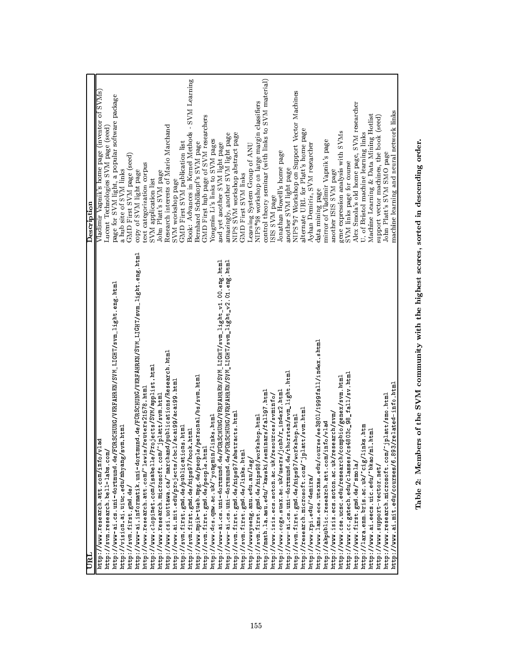| URL                                                                                         | Description                                                                           |
|---------------------------------------------------------------------------------------------|---------------------------------------------------------------------------------------|
| $\sqrt{v1ad}$<br>http://www.research.att.com/info/<br>http://svm.research.bell-labs.com     | Vladimir Vapnik's home page (inventor of SVMs)<br>Lucent Technologies SVM page (seed) |
| http://www-ai.cs.uni-dortmund.de/FORSCHUNG/VERFAHREN/SVM_LIGHT/svm_light.eng.html           | page for SVM light, a popular software package                                        |
| svm html<br>http://vision.ai.uiuc.edu/mhyang/<br>http://svm.first.gmd.de/                   | GMD First SVM page (seed)<br>a hub site of SVM links                                  |
| http://www-ai.informatik.uni-dortmund.de/FORSCHUNG/VERFAHREN/SVM_LIGHT/svm_light.eng.html   | copy of SVM light page                                                                |
| http://www.research.att.com/"lewis/reuters21578.html                                        | text categorization corpus                                                            |
| http://www.clopinet.com/isabelle/Projects/SVM/applist.html                                  | SVM application list                                                                  |
| http://www.research.microsoft.com/"jplatt/svm.html                                          | John Platt's SVM page                                                                 |
| http://www.csi.uottawa.ca/"marchand/publications/Research.html                              | Research interests of Mario Marchand                                                  |
| http://www.ai.mit.edu/projects/cbcl/acai99/acai99.html                                      | SVM workshop page                                                                     |
| http://svm.first.gmd.de/publications.html<br>http://svm.first.gmd.de/nips97/book.html       | Book: Advances in Kernel Methods - SVM Learning<br>GMD First SVM publication list     |
| http://www.mpik-tueb.mpg.de/people/personal/bs/svm.html                                     | Bernhard Schölkopf's SVM page                                                         |
| Ē<br>http://svm.first.gmd.de/people.ht                                                      | GMD First hub page of SVM researchers                                                 |
| http://www.dcs.qmw.ac.uk/"yongmin/links.html                                                | Yongmin Li's links to SVM pages                                                       |
| FORSCHUNG/VERFAHREN/SVM_LIGHT/svm_light_v1.00 eng.html<br>http://www-ai.cs.uni-dortmund.de/ | and yet another SVM light page                                                        |
| FORSCHUNG/VERFAHREN/SVM_LIGHT/svm_light_v2.01.eng.html<br>http://www-ai.cs.uni-dortmund.de/ | amazingly, another SVM light page                                                     |
| stracts html<br>http://svm.first.gmd.de/nips97/ab                                           | NIPS SVM workshop abstract page                                                       |
| http://svm.first.gmd.de/links.html                                                          | GMD First SVM links                                                                   |
| http://wwwsyseng.anu.edu.au/1sg/                                                            | Learning System Group of ANU                                                          |
| http://svm.first.gmd.de/nips98/workshop.html                                                | NIPS*98 workshop on large margin classifiers                                          |
| http://math.la.asu.edu/"kawski/seminars/fall97.html                                         | control theory seminar (with links to SVM material)                                   |
| http://www.isis.ecs.soton.ac.uk/resources/svminfo/                                          | ISIS SVM page                                                                         |
| http://www.cogs.susx.ac.uk/users/jonh/r_index2.html                                         | Jonathan Howell's home page                                                           |
| 'thorsten/svm_light.html<br>http://www-ai.cs.uni-dortmund.de/                               | another SVM light page                                                                |
| http://svm.first.gmd.de/nips97/workshop.html                                                | NIP S*97 Workshop on Support Vector Machines                                          |
| http://research.microsoft.com/"jplatt/svm.html                                              | alternate URL for Platt's home page                                                   |
| http://www.rpi.edu/"demira/                                                                 | Ayhan Demiriz, SVM researcher                                                         |
| http://www.lans.ece.utexas.edu/course/ee3801/1999fall/index.shtml                           | data mining page                                                                      |
| http://akpublic.research.att.com/info/vlad                                                  | mirror of Vladimir Vapnik's page<br>another ISIS SVM page                             |
| http://www.isis.ecs.soton.ac.uk/research/svm/                                               |                                                                                       |
| http://www.cse.ucsc.edu/research/compbio/genex/svm.html                                     | gene expression analysis with SVMs                                                    |
| cs4803c_98_fall/sv.html<br>http://www.cc.gatech.edu/classes/                                | SVM links page for course                                                             |
| http://www.first.gmd.de/"smola/                                                             | Alex Smola's old home page, SVM researcher                                            |
| http://lara.enm.bris.ac.uk/"cig/links.htm                                                   | U. of Bristol machine learning links                                                  |
| http://www.ai.eecs.uic.edu/"bkao/ml.html                                                    | Machine Learning & Data Mining Hotlist                                                |
| http://www.support-vector.net/                                                              | support vector machines, the book (seed)                                              |
| http://www.research.microsoft.com/"jplatt/smo.html                                          | John Platt's SVM SMO page                                                             |
| http://www.ai.mit.edu/courses/6.893/related-info.html                                       | machine learning and neural network links                                             |
|                                                                                             |                                                                                       |

Table 2: Members of the SVM community with the highest scores, sorted in descending order.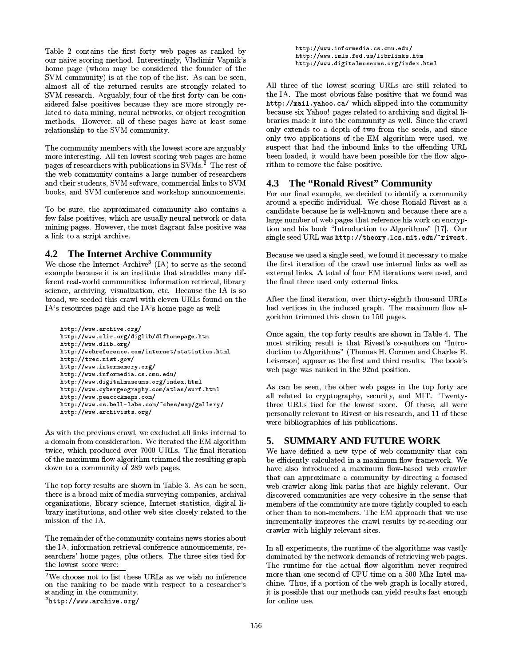Table 2 contains the first forty web pages as ranked by our naive scoring method. Interestingly, Vladimir Vapnik's home page (whom may be considered the founder of the SVM community) is at the top of the list. As can be seen, almost all of the returned results are strongly related to SVM research. Arguably, four of the first forty can be considered false positives because they are more strongly related to data mining, neural networks, or object recognition methods. However, all of these pages have at least some relationship to the SVM community.

The community members with the lowest score are arguably more interesting. All ten lowest scoring web pages are home pages of researchers with publications in SVMs.<sup>2</sup> The rest of the web community contains a large number of researchers and their students, SVM software, commercial links to SVM books, and SVM conference and workshop announcements.

To be sure, the approximated community also contains a few false positives, which are usually neural network or data mining pages. However, the most flagrant false positive was a link to a script archive.

### **4.2 The Internet Archive Community**

We chose the Internet Archive<sup>3</sup> (IA) to serve as the second example because it is an institute that straddles many different real-world communities: information retrieval, library science, archiving, visualization, etc. Because the IA is so broad, we seeded this crawl with eleven URLs found on the IA's resources page and the IA's home page as well:

```
http://www.archive.org/
http://www.clir.org/diglib/dlfhomepage.htm
http://www.dlib.org/
http://webreference.com/internet/statistics.html
http://trec.nist.gov/
http://www.intermemory.org/
http://www.informedia.cs.cmu.edu/
http://www.digitalmuseums.org/index.html
http://www.cybergeography.com/atlas/surf.html
http://www.peacockmaps.com/
http://www.cs.bell-labs.com/"ches/map/gallery/
http://www.archivists.org/
```
As with the previous crawl, we excluded all links internal to a domain from consideration. We iterated the EM algorithm twice, which produced over 7000 URLs. The final iteration of the maximum flow algorithm trimmed the resulting graph down to a community of 289 web pages.

The top forty results are shown in Table 3. As can be seen, there is a broad mix of media surveying companies, archival organizations, library science, Internet statistics, digital library institutions, and other web sites closely related to the mission of the IA.

The remainder of the community contains news stories about the IA, information retrieval conference announcements, researchers' home pages, plus others. The three sites tied for the lowest score were:

```
^3http://www.archive.org/
```
http://www.informedia.cs.cmu.edu/ http://www.imls.fed.us/librlinks.htm http://www.digitalmuseums.org/index.html

All three of the lowest scoring URLs are still related to the IA. The most obvious false positive that we found was http://mail.yahoo.ca/ which slipped into the community because six Yahoo! pages related to archiving and digital libraries made it into the community as well. Since the crawl only extends to a depth of two from the seeds, and since only two applications of the EM algorithm were used, we suspect that had the inbound links to the offending URL been loaded, it would have been possible for the flow algorithm to remove the false positive.

# 4.3 The "Ronald Rivest" Community

For our final example, we decided to identify a community around a specific individual. We chose Ronald Rivest as a candidate because he is well-known and because there are a large number of web pages that reference his work on encryption and his book "Introduction to Algorithms" [17]. Our single seed URL was http://theory.lcs.mit.edu/~rivest.

Because we used a single seed, we found it necessary to make the first iteration of the crawl use internal links as well as external links. A total of four EM iterations were used, and the final three used only external links.

After the final iteration, over thirty-eighth thousand URLs had vertices in the induced graph. The maximum flow algorithm trimmed this down to 150 pages.

Once again, the top forty results are shown in Table 4. The most striking result is that Rivest's co-authors on "Introduction to Algorithms" (Thomas H. Cormen and Charles E. Leiserson) appear as the first and third results. The book's web page was ranked in the 92nd position.

As can be seen, the other web pages in the top forty are all related to cryptography, security, and MIT. Twentythree URLs tied for the lowest score. Of these, all were personally relevant to Rivest or his research, and 11 of these were bibliographies of his publications.

# 5. SUMMARY AND FUTURE WORK

We have defined a new type of web community that can be efficiently calculated in a maximum flow framework. We have also introduced a maximum flow-based web crawler that can approximate a community by directing a focused web crawler along link paths that are highly relevant. Our discovered communities are very cohesive in the sense that members of the community are more tightly coupled to each other than to non-members. The EM approach that we use incrementally improves the crawl results by re-seeding our crawler with highly relevant sites.

In all experiments, the runtime of the algorithms was vastly dominated by the network demands of retrieving web pages. The runtime for the actual flow algorithm never required more than one second of CPU time on a 500 Mhz Intel machine. Thus, if a portion of the web graph is locally stored, it is possible that our methods can yield results fast enough for online use.

 $2$ We choose not to list these URLs as we wish no inference on the ranking to be made with respect to a researcher's standing in the community.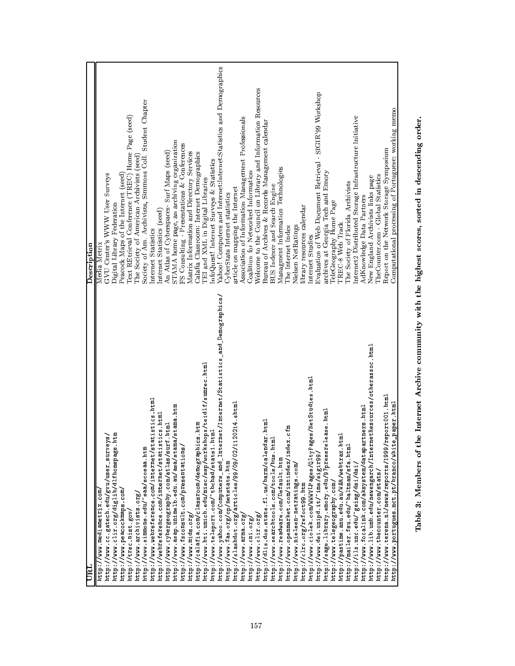| пял                                                                               | Description                                                        |
|-----------------------------------------------------------------------------------|--------------------------------------------------------------------|
| http://www.mediametrix.com/                                                       | Media Metrix                                                       |
| http://www.cc.gatech.edu/gvu/user_surveys/                                        | GVU Center's WWW User Surveys                                      |
| http://www.clir.org/diglib/dlfhomepage.htm                                        | Digital Library Federation                                         |
| http://www.peacockmaps.com/                                                       | Peacock Maps of the Internet (seed)                                |
| http://trec.nist.gov/                                                             | Text REtrieval Conference (TREC) Home Page (seed)                  |
| http://www.archivists.org/                                                        | The Society of American Archivists (seed)                          |
| http://www.simmons.edu/"saa/scosaa.htm                                            | Society of Am. Archivists, Simmons Coll. Student Chapter           |
| http://www.webreference.com/internet/statistics.html                              | Internet Statistics                                                |
| http://webreference.com/internet/statistics.html                                  | Internet Statistics (seed)                                         |
| html<br>http://www.cybergeography.com/atlas/surf                                  | Surf Maps (seed)<br>An Atlas of Cyberspaces-                       |
| http://www.asap.unimelb.edu.au/asa/stama/stama.htm                                | STAMA home page, an archiving organization                         |
| http://www.fsconsult.com/presentations/                                           | FS Consulting - Presentations & Conferences                        |
| http://www.mids.org/                                                              | Matrix Information and Directory Services                          |
| is htm<br>http://calafia.com/classroom/demographic                                | Calafia Classroom: Internet Demographics                           |
| http://www.hti.umich.edu/misc/ssp/workshops/teidlf/sumrec.html                    | TEI and XML in Digital Libraries                                   |
| http://www.teleport.com/"tbchad/stats1.html                                       | nfoQuest! Internet Surveys & Statistics                            |
| http://www.yahoo.com/Computers_and_Internet/Internet/Statistics_and_Demographics/ | Yahoo! Computers and Internet:Internet:Statistics and Demographics |
| http://www.fas.org/cp/netstats.htm                                                | CyberStats Internet statistics                                     |
| 20214 shtml<br>http://slashdot.org/articles/99/09/02/11                           | article on mapping the Internet                                    |
| http://www.arma.org.                                                              | Association of Information Management Professionals                |
| http://www.cni.org/                                                               | Coalition for Networked Information                                |
| http://www.clir.org,                                                              | Welcome to the Council on Library and Information Resources        |
| http://dlis.dos.state.fl.us/barm/calendar.html                                    | Bureau of Archives & Records Management calendar                   |
| http://www.searchtools.com/tools/bus.html                                         | BUS Indexer and Search Engine                                      |
| http://www.readware.com/Default.htm                                               | Managment Information Technologies                                 |
| http://www.openmarket.com/intindex/index.cfm                                      | The Internet Index                                                 |
| http://www.nielsen-netratings.com/                                                | Nielsen NetRatings                                                 |
| http://clrc.org/refoct99.htm                                                      | library resources calendar                                         |
| es/NetStudies.html<br>http://www.ciolek.com/WWWLPages/QltyPag                     | Internet Studies                                                   |
| http://www.dei.unipd.it/"ims/sigir99,                                             | Evaluation of Web Document Retrieval - SIGIR'99 Workshop           |
| ease html<br>http://sage.library.emory.edu/97pressrel                             | archives at Georgia Tech and Emory                                 |
| http://www.telegeography.com/                                                     | TeleGeography Home Page                                            |
| 덭<br>http://pastime.anu.edu.au/WAR/webtrax.ht                                     | TREC-8 Web Track                                                   |
| http://mailer.fsu.edu/"baltman/sfa.html                                           | The Society of Florida Archivists                                  |
| http://ils.unc.edu/"geisg/dsi/dsi/                                                | Internet2 Distributed Storage Infrastructure Initiative            |
| http://www.focalink.com/aksystem/datapartners.html                                | AdKnowledge Data Partners                                          |
| letResources/otherassoc.html<br>http://www.lib.umb.edu/newengarch/Intern          | New England Archivists links page                                  |
| http://www.thecounter.com/stats/                                                  | TheCounter.com - Global Statistics                                 |
| http://www.terena.nl/news/reports/1999/report001.html                             | Report on the Network Storage Symposium                            |
| paper html<br>http://www.portugues.mct.pt/branco/white                            | Computational processing of Portuguese: working memo               |
|                                                                                   |                                                                    |

Table 3: Members of the Internet Archive community with the highest scores, sorted in descending order.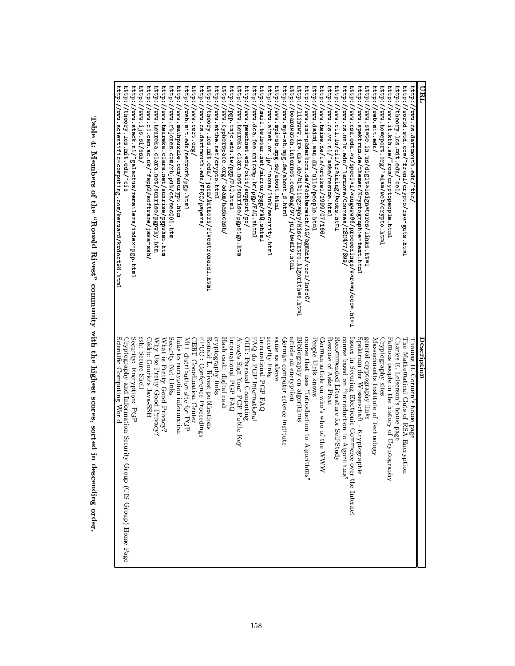| URL                                                                                                                                      | Description                                                                                                 |
|------------------------------------------------------------------------------------------------------------------------------------------|-------------------------------------------------------------------------------------------------------------|
| http://www.cs.dartmouth.edu/"thc,                                                                                                        | Thomas H. Cormen's home page                                                                                |
| http://world.std.com/"franl/crypto/rsa-guts.html                                                                                         | The Mathematical Guts of RSA Encryption                                                                     |
| http://theory.lcs.mit.edu/cel/                                                                                                           | Charles E. Leiserson's home page                                                                            |
| http://www.homeport.org/ <sup>-</sup> adam/web/crypto.html<br>http://www.it.kth.se/~rom/cryptopeople.html                                | Cryptography sites<br>Famous people in the history of Cryptography                                          |
| http://web.mit.edu/                                                                                                                      | Massachusetts Institute of Technology                                                                       |
| http://www.state.in.us/digitalsignatures/links.html                                                                                      | general cryptography links                                                                                  |
| http://www.spektrum.de/themen/Kryptographie-text.html                                                                                    | Spektrum der Wissenschaft - Kryptographie                                                                   |
| http://www.cs.unlv.edu/Jarmore/Courses/CSC477/S99/<br>http://www.csu.edu.au/special/auugwww96/proceedings/varamu/ecom.html               | "sequence based on "Introduction to Algorithms"<br>Issues in Securing Electronic Commerce over the Internet |
| http://www.cil.lu/cil/training/books.html                                                                                                | Recommended Literature for Self-Study                                                                       |
| http://www.cs.vu.nl/aske/resume.html                                                                                                     | Resume of Aske Plaat                                                                                        |
| http://www.heise.de/ix/artikel/1999/07/166/                                                                                              | German article on who's who of the WWW                                                                      |
| http://www.daimi.aau.dk/~ulle/people.html                                                                                                | People Ulrik knows                                                                                          |
| http://www.uni-paderborn.de/fachbereich/AG/agmadh/vorl/InfoC,                                                                            | course that uses "Introduction to Algorithms"                                                               |
| ${\tt http://boardwater.interm.com/mag/97/ju1/bwm19.html}$<br>${\tt http://limitwww.ina.uka.de/bibliography/Miss/Intro. Algorithms.html$ | article on encryption<br>Bibliography on algorithms                                                         |
| http://www.mpi-sb.mpg.de/about_d.html                                                                                                    | German computer science institute                                                                           |
| http://www.mpi-sb.mpg.de/about.html                                                                                                      | same as above                                                                                               |
| http://www.ainet.or.jp/ <sup>-</sup> inoue/link/security.html                                                                            | security links                                                                                              |
| http://mail.telstar.net/mirror/pgp/FAQ.shtml                                                                                             | International PGP FAQ                                                                                       |
| http://www.dca.fee.unicamp.br/pgp/FAQ.shtml                                                                                              | FAQ do PGP International                                                                                    |
| http://www.peachnet.edu/oiit/support/pc/                                                                                                 | OIIT: Personal Computing                                                                                    |
| http://www.heureka.clara.net/sunrise/pgpsign.htm                                                                                         | Always Sign Your PGP Public Key                                                                             |
| http://pgp.tnjc.edu.tw/pgp/FAQ.html                                                                                                      | International PGP FAQ                                                                                       |
| http://www.cypherspace.org/"adam/hashcash/                                                                                               | Hash cash: digital cash                                                                                     |
| http://www.atthe.net/crypto.html                                                                                                         | cryptography links                                                                                          |
| ${\tt http://theory.ics.mit.edu/~jacm/Authors/rightcondhtml}$                                                                            | Ronald L. Rivest publications                                                                               |
| http://www.cs.dartmouth.edu/FPCC/papers/                                                                                                 | FPCC : Conference Proceedings                                                                               |
| http://www.cert.org/                                                                                                                     | CERT Coordination Center                                                                                    |
| http://web.mit.edu/network/pgp.html                                                                                                      | MIT distribution site for PGP                                                                               |
| 7.4444<br>//www.mathpuzzle.com/encrypt.htm                                                                                               | links to encryption information                                                                             |
| http://www.rbjones.com/rbjpub/cs/sec001.htm                                                                                              | Security Net-Links                                                                                          |
| http://www.heureka.clara.net/sunrise/pgpwhat.htm                                                                                         | What is Pretty Good Privacy?                                                                                |
| http://www.heureka.clara.net/sunrise/pgpwhy.htm                                                                                          | Why Use Pretty Good Privacy?                                                                                |
| http://www.cl.cam.ac.uk/~fapp2/software/java-ssh/                                                                                        | Cédric Gourio's Java-SSH                                                                                    |
| http://www.ijs.si/ssh/                                                                                                                   | ssh: Secure Shell                                                                                           |
| http://www.stack.nl/"galactus/remailers/index-pgp.html                                                                                   | Security: Encryption: PGP                                                                                   |
| http://theory.lcs.mit.edu/"cis                                                                                                           | Cryptography and Information Security<br>Group (CIS Group) Home Page                                        |
| ${\tt http://www.scientific-conputing.com/kenarid/kwodoct98.html}$                                                                       | Scientific Computing World                                                                                  |
|                                                                                                                                          |                                                                                                             |

Table 4: Members of the "Ronald Rivest" community with the highest scores, sorted in descending order.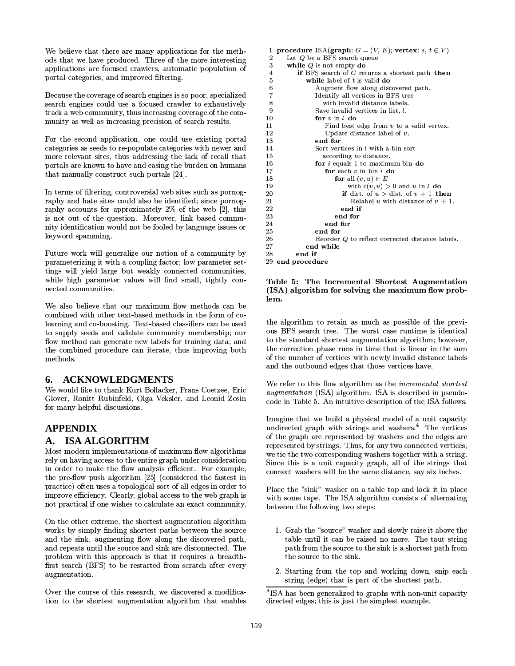We believe that there are many applications for the methods that we have produced. Three of the more interesting applications are focused crawlers, automatic population of portal categories, and improved filtering.

Because the coverage of search engines is so poor, specialized search engines could use a focused crawler to exhaustively track a web community, thus increasing coverage of the community as well as increasing precision of search results.

For the second application, one could use existing portal categories as seeds to re-populate categories with newer and more relevant sites, thus addressing the lack of recall that portals are known to have and easing the burden on humans that manually construct such portals [24].

In terms of filtering, controversial web sites such as pornography and hate sites could also be identified; since pornography accounts for approximately 2% of the web [2], this is not out of the question. Moreover, link based community identification would not be fooled by language issues or keyword spamming.

Future work will generalize our notion of a community by parameterizing it with a coupling factor; low parameter settings will yield large but weakly connected communities, while high parameter values will find small, tightly connected communities.

We also believe that our maximum flow methods can be combined with other text-based methods in the form of colearning and co-boosting. Text-based classifiers can be used to supply seeds and validate community membership; our flow method can generate new labels for training data; and the combined procedure can iterate, thus improving both methods.

# 6. ACKNOWLEDGMENTS

We would like to thank Kurt Bollacker, Frans Coetzee, Eric Glover, Ronitt Rubinfeld, Olga Veksler, and Leonid Zosin for many helpful discussions.

# **APPENDIX**

#### A. ISA ALGORITHM

Most modern implementations of maximum flow algorithms rely on having access to the entire graph under consideration in order to make the flow analysis efficient. For example, the pre-flow push algorithm [25] (considered the fastest in practice) often uses a topological sort of all edges in order to improve efficiency. Clearly, global access to the web graph is not practical if one wishes to calculate an exact community.

On the other extreme, the shortest augmentation algorithm works by simply finding shortest paths between the source and the sink, augmenting flow along the discovered path, and repeats until the source and sink are disconnected. The problem with this approach is that it requires a breadthfirst search (BFS) to be restarted from scratch after every augment ation.

Over the course of this research, we discovered a modification to the shortest augmentation algorithm that enables

```
procedure ISA(graph: G = (V, E); vertex: s, t \in V)
 \mathbf{1}Let Q be a BFS search queue
 \overline{2}while Q is not empty do
 3
 \overline{4}if BFS search of G returns a shortest path then
 5
              while label of t is valid do
                 Augment flow along discovered path.
 \,6\overline{7}Identify all vertices in BFS tree
 \mathbf{R}with invalid distance labels.
 \mathbf{Q}Save invalid vertices in list, l.
10for v in l do
11
                    Find best edge from v to a valid vertex.
12
                     Update distance label of v.
13end for
                 Sort vertices in l with a bin sort
14
15according to distance.
16
                 for i equals 1 to maximum bin do
17
                    for each v in bin i do
18
                        for all (v, u) \in Ewith c(v, u) > 0 and u in l do
19
                          if dist of u > dist of v + 1 then
20
21
                             Relabel u with distance of v + 1.
22
                          end if
23
                        end for
24
                    end for
25end for
                 Reorder Q to reflect corrected distance labels.
26
              end while
27
28end if
29
   end procedure
```
#### Table 5: The Incremental Shortest Augmentation (ISA) algorithm for solving the maximum flow problem.

the algorithm to retain as much as possible of the previous BFS search tree. The worst case runtime is identical to the standard shortest augmentation algorithm; however, the correction phase runs in time that is linear in the sum of the number of vertices with newly invalid distance labels and the outbound edges that those vertices have.

We refer to this flow algorithm as the *incremental shortest augmentation* (ISA) algorithm. ISA is described in pseudocode in Table 5. An intuitive description of the ISA follows.

Imagine that we build a physical model of a unit capacity undirected graph with strings and washers.<sup>4</sup> The vertices of the graph are represented by washers and the edges are represented by strings. Thus, for any two connected vertices, we tie the two corresponding washers together with a string. Since this is a unit capacity graph, all of the strings that connect washers will be the same distance, say six inches.

Place the "sink" washer on a table top and lock it in place with some tape. The ISA algorithm consists of alternating between the following two steps:

- 1. Grab the "source" washer and slowly raise it above the table until it can be raised no more. The taut string path from the source to the sink is a shortest path from the source to the sink.
- 2. Starting from the top and working down, snip each string (edge) that is part of the shortest path.

<sup>&</sup>lt;sup>4</sup>ISA has been generalized to graphs with non-unit capacity directed edges; this is just the simplest example.